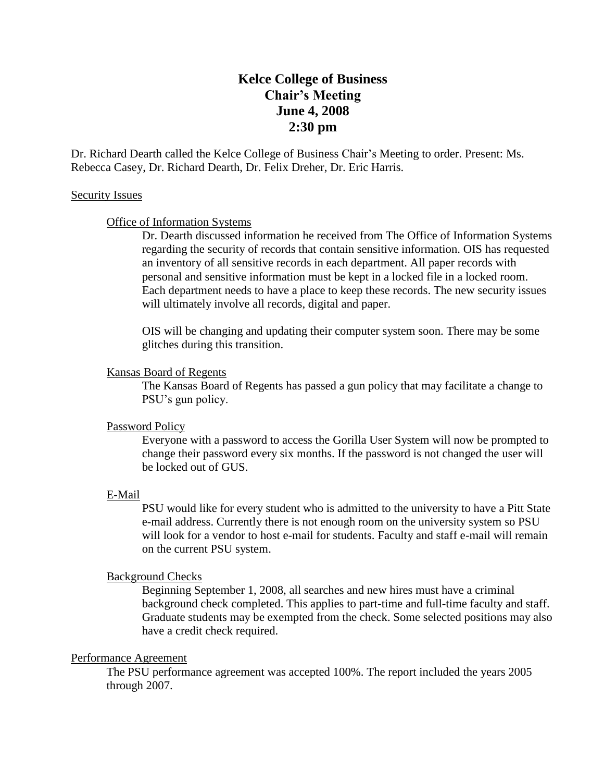# **Kelce College of Business Chair's Meeting June 4, 2008 2:30 pm**

Dr. Richard Dearth called the Kelce College of Business Chair's Meeting to order. Present: Ms. Rebecca Casey, Dr. Richard Dearth, Dr. Felix Dreher, Dr. Eric Harris.

## Security Issues

# Office of Information Systems

Dr. Dearth discussed information he received from The Office of Information Systems regarding the security of records that contain sensitive information. OIS has requested an inventory of all sensitive records in each department. All paper records with personal and sensitive information must be kept in a locked file in a locked room. Each department needs to have a place to keep these records. The new security issues will ultimately involve all records, digital and paper.

OIS will be changing and updating their computer system soon. There may be some glitches during this transition.

# Kansas Board of Regents

The Kansas Board of Regents has passed a gun policy that may facilitate a change to PSU's gun policy.

## Password Policy

Everyone with a password to access the Gorilla User System will now be prompted to change their password every six months. If the password is not changed the user will be locked out of GUS.

# E-Mail

PSU would like for every student who is admitted to the university to have a Pitt State e-mail address. Currently there is not enough room on the university system so PSU will look for a vendor to host e-mail for students. Faculty and staff e-mail will remain on the current PSU system.

## Background Checks

Beginning September 1, 2008, all searches and new hires must have a criminal background check completed. This applies to part-time and full-time faculty and staff. Graduate students may be exempted from the check. Some selected positions may also have a credit check required.

# Performance Agreement

The PSU performance agreement was accepted 100%. The report included the years 2005 through 2007.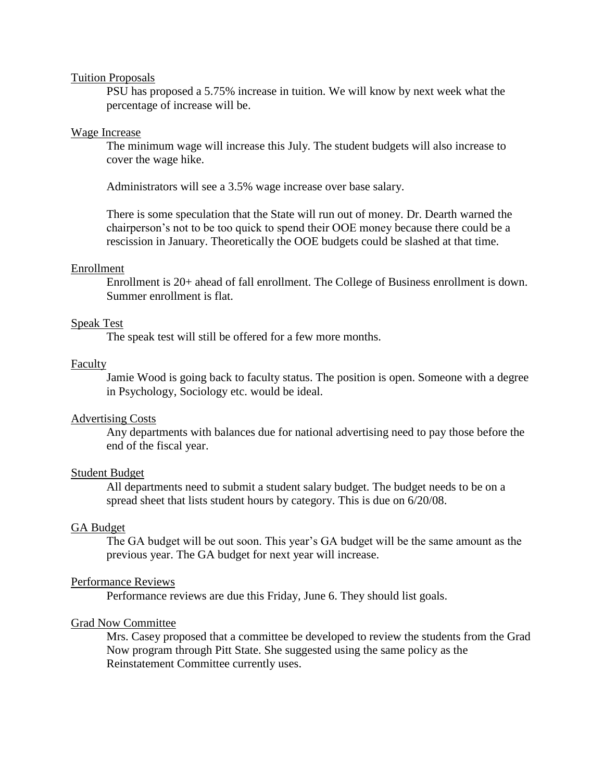#### Tuition Proposals

PSU has proposed a 5.75% increase in tuition. We will know by next week what the percentage of increase will be.

### Wage Increase

The minimum wage will increase this July. The student budgets will also increase to cover the wage hike.

Administrators will see a 3.5% wage increase over base salary.

There is some speculation that the State will run out of money. Dr. Dearth warned the chairperson's not to be too quick to spend their OOE money because there could be a rescission in January. Theoretically the OOE budgets could be slashed at that time.

### Enrollment

Enrollment is 20+ ahead of fall enrollment. The College of Business enrollment is down. Summer enrollment is flat.

### Speak Test

The speak test will still be offered for a few more months.

## Faculty

Jamie Wood is going back to faculty status. The position is open. Someone with a degree in Psychology, Sociology etc. would be ideal.

## Advertising Costs

Any departments with balances due for national advertising need to pay those before the end of the fiscal year.

### Student Budget

All departments need to submit a student salary budget. The budget needs to be on a spread sheet that lists student hours by category. This is due on 6/20/08.

### GA Budget

The GA budget will be out soon. This year's GA budget will be the same amount as the previous year. The GA budget for next year will increase.

#### Performance Reviews

Performance reviews are due this Friday, June 6. They should list goals.

#### Grad Now Committee

Mrs. Casey proposed that a committee be developed to review the students from the Grad Now program through Pitt State. She suggested using the same policy as the Reinstatement Committee currently uses.